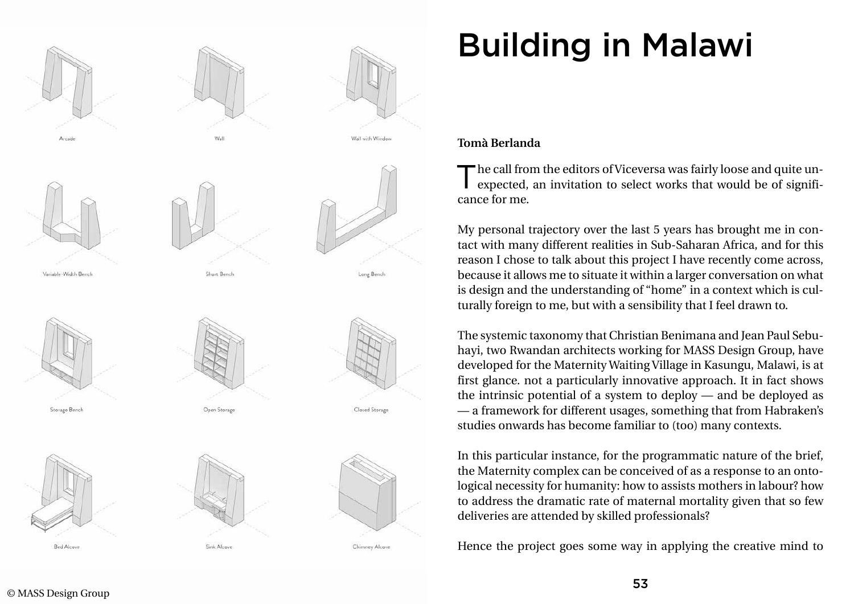





Sink Alcove



Variable-Width Bench

Storage Bench



**Bed Alcove** 





Wall with Window

Long Bench

Chimney Alcove

## Building in Malawi

## **Tomà Berlanda**

The call from the editors of Viceversa was fairly loose and quite un-<br>expected, an invitation to select works that would be of significance for me.

My personal trajectory over the last 5 years has brought me in contact with many different realities in Sub-Saharan Africa, and for this reason I chose to talk about this project I have recently come across, because it allows me to situate it within a larger conversation on what is design and the understanding of "home" in a context which is culturally foreign to me, but with a sensibility that I feel drawn to.

The systemic taxonomy that Christian Benimana and Jean Paul Sebuhayi, two Rwandan architects working for MASS Design Group, have developed for the Maternity Waiting Village in Kasungu, Malawi, is at first glance. not a particularly innovative approach. It in fact shows the intrinsic potential of a system to deploy — and be deployed as — a framework for different usages, something that from Habraken's studies onwards has become familiar to (too) many contexts.

In this particular instance, for the programmatic nature of the brief, the Maternity complex can be conceived of as a response to an ontological necessity for humanity: how to assists mothers in labour? how to address the dramatic rate of maternal mortality given that so few deliveries are attended by skilled professionals?

Hence the project goes some way in applying the creative mind to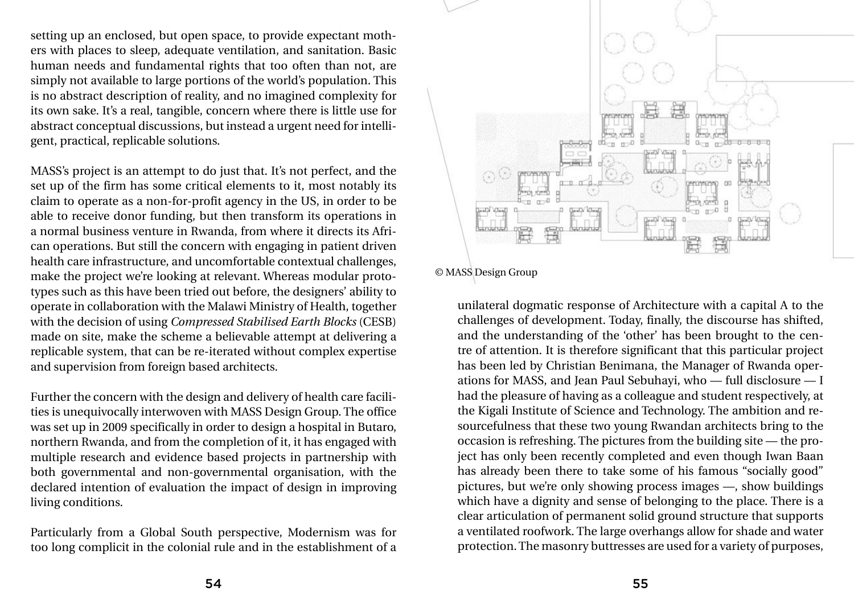setting up an enclosed, but open space, to provide expectant mothers with places to sleep, adequate ventilation, and sanitation. Basic human needs and fundamental rights that too often than not, are simply not available to large portions of the world's population. This is no abstract description of reality, and no imagined complexity for its own sake. It's a real, tangible, concern where there is little use for abstract conceptual discussions, but instead a urgent need for intelligent, practical, replicable solutions.

MASS's project is an attempt to do just that. It's not perfect, and the set up of the firm has some critical elements to it, most notably its claim to operate as a non-for-profit agency in the US, in order to be able to receive donor funding, but then transform its operations in a normal business venture in Rwanda, from where it directs its African operations. But still the concern with engaging in patient driven health care infrastructure, and uncomfortable contextual challenges, make the project we're looking at relevant. Whereas modular prototypes such as this have been tried out before, the designers' ability to operate in collaboration with the Malawi Ministry of Health, together with the decision of using *Compressed Stabilised Earth Blocks* (CESB) made on site, make the scheme a believable attempt at delivering a replicable system, that can be re-iterated without complex expertise and supervision from foreign based architects.

Further the concern with the design and delivery of health care facilities is unequivocally interwoven with MASS Design Group. The office was set up in 2009 specifically in order to design a hospital in Butaro, northern Rwanda, and from the completion of it, it has engaged with multiple research and evidence based projects in partnership with both governmental and non-governmental organisation, with the declared intention of evaluation the impact of design in improving living conditions.

Particularly from a Global South perspective, Modernism was for too long complicit in the colonial rule and in the establishment of a



unilateral dogmatic response of Architecture with a capital A to the challenges of development. Today, finally, the discourse has shifted, and the understanding of the 'other' has been brought to the centre of attention. It is therefore significant that this particular project has been led by Christian Benimana, the Manager of Rwanda operations for MASS, and Jean Paul Sebuhayi, who — full disclosure — I had the pleasure of having as a colleague and student respectively, at the Kigali Institute of Science and Technology. The ambition and resourcefulness that these two young Rwandan architects bring to the occasion is refreshing. The pictures from the building site — the project has only been recently completed and even though Iwan Baan has already been there to take some of his famous "socially good" pictures, but we're only showing process images —, show buildings which have a dignity and sense of belonging to the place. There is a clear articulation of permanent solid ground structure that supports a ventilated roofwork. The large overhangs allow for shade and water protection. The masonry buttresses are used for a variety of purposes,

© MASS Design Group